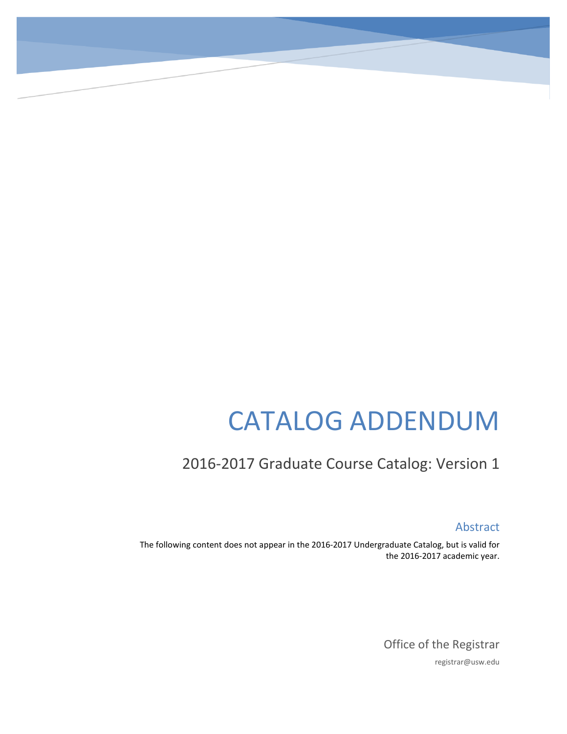# CATALOG ADDENDUM

# 2016-2017 Graduate Course Catalog: Version 1

Abstract

The following content does not appear in the 2016-2017 Undergraduate Catalog, but is valid for the 2016-2017 academic year.

> Office of the Registrar registrar@usw.edu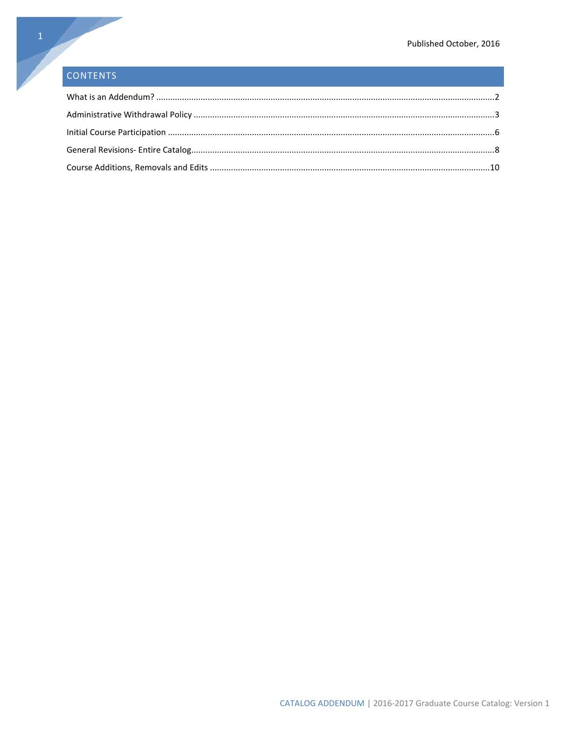# **CONTENTS**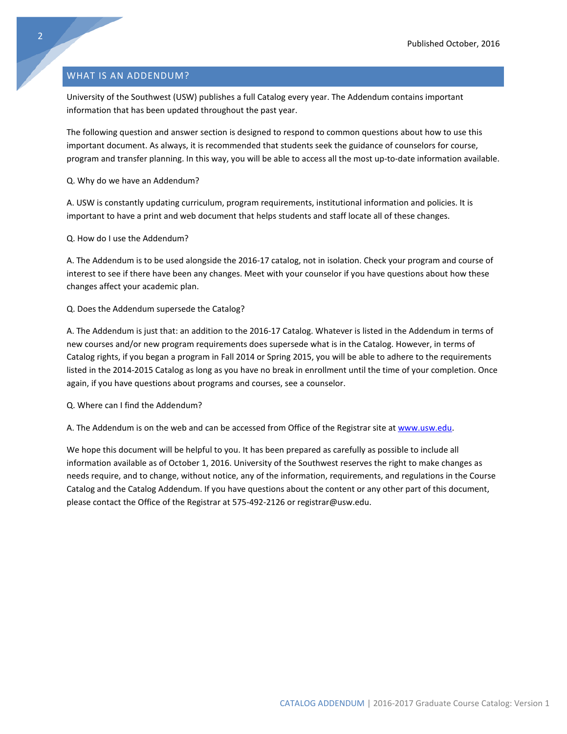# <span id="page-2-0"></span>WHAT IS AN ADDENDUM?

University of the Southwest (USW) publishes a full Catalog every year. The Addendum contains important information that has been updated throughout the past year.

The following question and answer section is designed to respond to common questions about how to use this important document. As always, it is recommended that students seek the guidance of counselors for course, program and transfer planning. In this way, you will be able to access all the most up-to-date information available.

Q. Why do we have an Addendum?

A. USW is constantly updating curriculum, program requirements, institutional information and policies. It is important to have a print and web document that helps students and staff locate all of these changes.

Q. How do I use the Addendum?

A. The Addendum is to be used alongside the 2016-17 catalog, not in isolation. Check your program and course of interest to see if there have been any changes. Meet with your counselor if you have questions about how these changes affect your academic plan.

# Q. Does the Addendum supersede the Catalog?

A. The Addendum is just that: an addition to the 2016-17 Catalog. Whatever is listed in the Addendum in terms of new courses and/or new program requirements does supersede what is in the Catalog. However, in terms of Catalog rights, if you began a program in Fall 2014 or Spring 2015, you will be able to adhere to the requirements listed in the 2014-2015 Catalog as long as you have no break in enrollment until the time of your completion. Once again, if you have questions about programs and courses, see a counselor.

Q. Where can I find the Addendum?

A. The Addendum is on the web and can be accessed from Office of the Registrar site at [www.usw.edu.](http://www.usw.edu/)

We hope this document will be helpful to you. It has been prepared as carefully as possible to include all information available as of October 1, 2016. University of the Southwest reserves the right to make changes as needs require, and to change, without notice, any of the information, requirements, and regulations in the Course Catalog and the Catalog Addendum. If you have questions about the content or any other part of this document, please contact the Office of the Registrar at 575-492-2126 or registrar@usw.edu.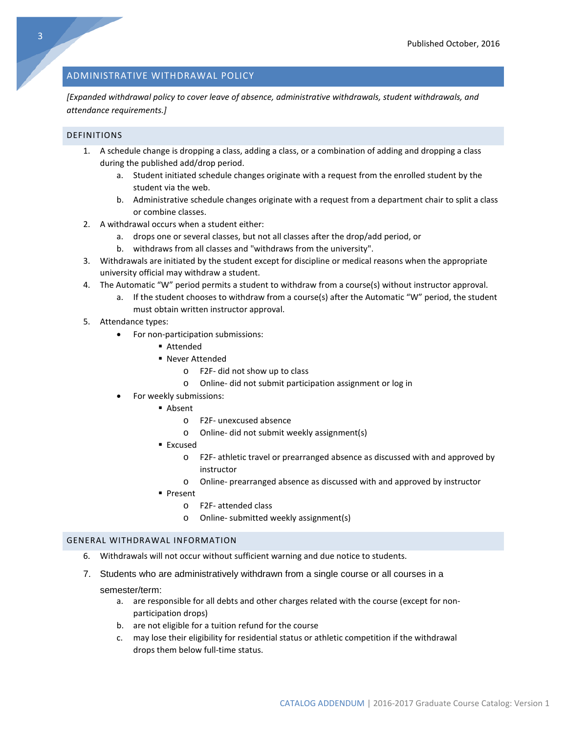# <span id="page-3-0"></span>ADMINISTRATIVE WITHDRAWAL POLICY

*[Expanded withdrawal policy to cover leave of absence, administrative withdrawals, student withdrawals, and attendance requirements.]*

# DEFINITIONS

- 1. A schedule change is dropping a class, adding a class, or a combination of adding and dropping a class during the published add/drop period.
	- a. Student initiated schedule changes originate with a request from the enrolled student by the student via the web.
	- b. Administrative schedule changes originate with a request from a department chair to split a class or combine classes.
- 2. A withdrawal occurs when a student either:
	- a. drops one or several classes, but not all classes after the drop/add period, or
	- b. withdraws from all classes and "withdraws from the university".
- 3. Withdrawals are initiated by the student except for discipline or medical reasons when the appropriate university official may withdraw a student.
- 4. The Automatic "W" period permits a student to withdraw from a course(s) without instructor approval.
	- a. If the student chooses to withdraw from a course(s) after the Automatic "W" period, the student must obtain written instructor approval.
- 5. Attendance types:
	- For non-participation submissions:
		- Attended
		- Never Attended
			- o F2F- did not show up to class
			- o Online- did not submit participation assignment or log in
	- For weekly submissions:
		- Absent
			- o F2F- unexcused absence
			- o Online- did not submit weekly assignment(s)
			- Excused
				- o F2F- athletic travel or prearranged absence as discussed with and approved by instructor
				- o Online- prearranged absence as discussed with and approved by instructor
			- **Present** 
				- o F2F- attended class
				- o Online- submitted weekly assignment(s)

#### GENERAL WITHDRAWAL INFORMATION

- 6. Withdrawals will not occur without sufficient warning and due notice to students.
- 7. Students who are administratively withdrawn from a single course or all courses in a

#### semester/term:

- a. are responsible for all debts and other charges related with the course (except for nonparticipation drops)
- b. are not eligible for a tuition refund for the course
- c. may lose their eligibility for residential status or athletic competition if the withdrawal drops them below full-time status.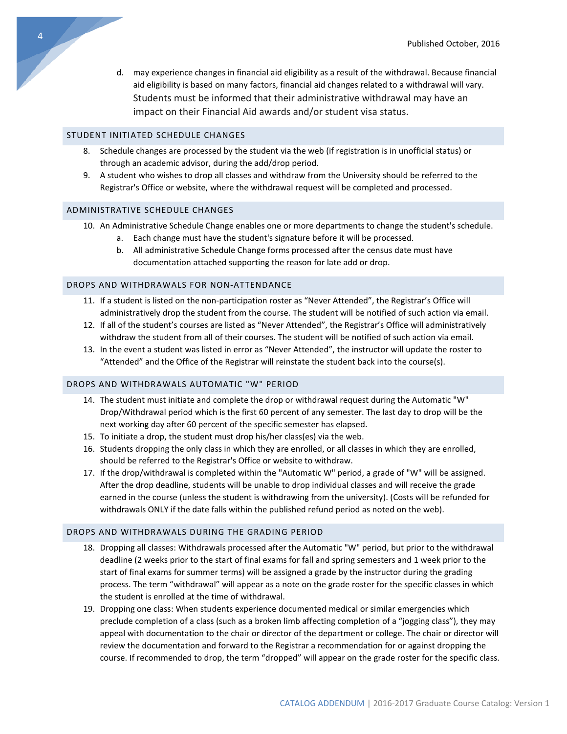d. may experience changes in financial aid eligibility as a result of the withdrawal. Because financial aid eligibility is based on many factors, financial aid changes related to a withdrawal will vary. Students must be informed that their administrative withdrawal may have an impact on their Financial Aid awards and/or student visa status.

# STUDENT INITIATED SCHEDULE CHANGES

- 8. Schedule changes are processed by the student via the web (if registration is in unofficial status) or through an academic advisor, during the add/drop period.
- 9. A student who wishes to drop all classes and withdraw from the University should be referred to the Registrar's Office or website, where the withdrawal request will be completed and processed.

#### ADMINISTRATIVE SCHEDULE CHANGES

- 10. An Administrative Schedule Change enables one or more departments to change the student's schedule.
	- a. Each change must have the student's signature before it will be processed.
	- b. All administrative Schedule Change forms processed after the census date must have documentation attached supporting the reason for late add or drop.

#### DROPS AND WITHDRAWALS FOR NON-ATTENDANCE

- 11. If a student is listed on the non-participation roster as "Never Attended", the Registrar's Office will administratively drop the student from the course. The student will be notified of such action via email.
- 12. If all of the student's courses are listed as "Never Attended", the Registrar's Office will administratively withdraw the student from all of their courses. The student will be notified of such action via email.
- 13. In the event a student was listed in error as "Never Attended", the instructor will update the roster to "Attended" and the Office of the Registrar will reinstate the student back into the course(s).

#### DROPS AND WITHDRAWALS AUTOMATIC "W" PERIOD

- 14. The student must initiate and complete the drop or withdrawal request during the Automatic "W" Drop/Withdrawal period which is the first 60 percent of any semester. The last day to drop will be the next working day after 60 percent of the specific semester has elapsed.
- 15. To initiate a drop, the student must drop his/her class(es) via the web.
- 16. Students dropping the only class in which they are enrolled, or all classes in which they are enrolled, should be referred to the Registrar's Office or website to withdraw.
- 17. If the drop/withdrawal is completed within the "Automatic W" period, a grade of "W" will be assigned. After the drop deadline, students will be unable to drop individual classes and will receive the grade earned in the course (unless the student is withdrawing from the university). (Costs will be refunded for withdrawals ONLY if the date falls within the published refund period as noted on the web).

#### DROPS AND WITHDRAWALS DURING THE GRADING PERIOD

- 18. Dropping all classes: Withdrawals processed after the Automatic "W" period, but prior to the withdrawal deadline (2 weeks prior to the start of final exams for fall and spring semesters and 1 week prior to the start of final exams for summer terms) will be assigned a grade by the instructor during the grading process. The term "withdrawal" will appear as a note on the grade roster for the specific classes in which the student is enrolled at the time of withdrawal.
- 19. Dropping one class: When students experience documented medical or similar emergencies which preclude completion of a class (such as a broken limb affecting completion of a "jogging class"), they may appeal with documentation to the chair or director of the department or college. The chair or director will review the documentation and forward to the Registrar a recommendation for or against dropping the course. If recommended to drop, the term "dropped" will appear on the grade roster for the specific class.

4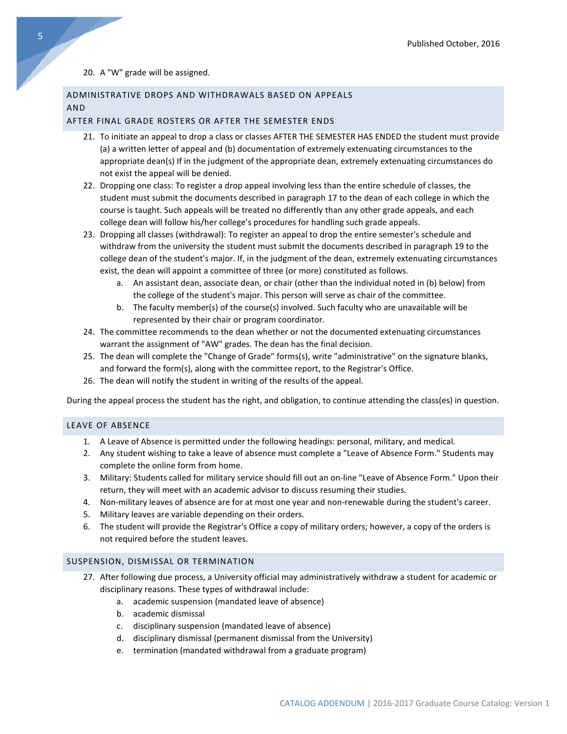### 20. A "W" grade will be assigned.

# ADMINISTRATIVE DROPS AND WITHDRAWALS BASED ON APPEALS AND

# AFTER FINAL GRADE ROSTERS OR AFTER THE SEMESTER ENDS

- 21. To initiate an appeal to drop a class or classes AFTER THE SEMESTER HAS ENDED the student must provide (a) a written letter of appeal and (b) documentation of extremely extenuating circumstances to the appropriate dean(s) If in the judgment of the appropriate dean, extremely extenuating circumstances do not exist the appeal will be denied.
- 22. Dropping one class: To register a drop appeal involving less than the entire schedule of classes, the student must submit the documents described in paragraph 17 to the dean of each college in which the course is taught. Such appeals will be treated no differently than any other grade appeals, and each college dean will follow his/her college's procedures for handling such grade appeals.
- 23. Dropping all classes (withdrawal): To register an appeal to drop the entire semester's schedule and withdraw from the university the student must submit the documents described in paragraph 19 to the college dean of the student's major. If, in the judgment of the dean, extremely extenuating circumstances exist, the dean will appoint a committee of three (or more) constituted as follows.
	- a. An assistant dean, associate dean, or chair (other than the individual noted in (b) below) from the college of the student's major. This person will serve as chair of the committee.
	- b. The faculty member(s) of the course(s) involved. Such faculty who are unavailable will be represented by their chair or program coordinator.
- 24. The committee recommends to the dean whether or not the documented extenuating circumstances warrant the assignment of "AW" grades. The dean has the final decision.
- 25. The dean will complete the "Change of Grade" forms(s), write "administrative" on the signature blanks, and forward the form(s), along with the committee report, to the Registrar's Office.
- 26. The dean will notify the student in writing of the results of the appeal.

During the appeal process the student has the right, and obligation, to continue attending the class(es) in question.

# LEAVE OF ABSENCE

- 1. A Leave of Absence is permitted under the following headings: personal, military, and medical.
- 2. Any student wishing to take a leave of absence must complete a "Leave of Absence Form." Students may complete the online form from home.
- 3. Military: Students called for military service should fill out an on-line "Leave of Absence Form." Upon their return, they will meet with an academic advisor to discuss resuming their studies.
- 4. Non-military leaves of absence are for at most one year and non-renewable during the student's career.
- 5. Military leaves are variable depending on their orders.
- 6. The student will provide the Registrar's Office a copy of military orders; however, a copy of the orders is not required before the student leaves.

# SUSPENSION, DISMISSAL OR TERMINATION

- 27. After following due process, a University official may administratively withdraw a student for academic or disciplinary reasons. These types of withdrawal include:
	- a. academic suspension (mandated leave of absence)
	- b. academic dismissal
	- c. disciplinary suspension (mandated leave of absence)
	- d. disciplinary dismissal (permanent dismissal from the University)
	- e. termination (mandated withdrawal from a graduate program)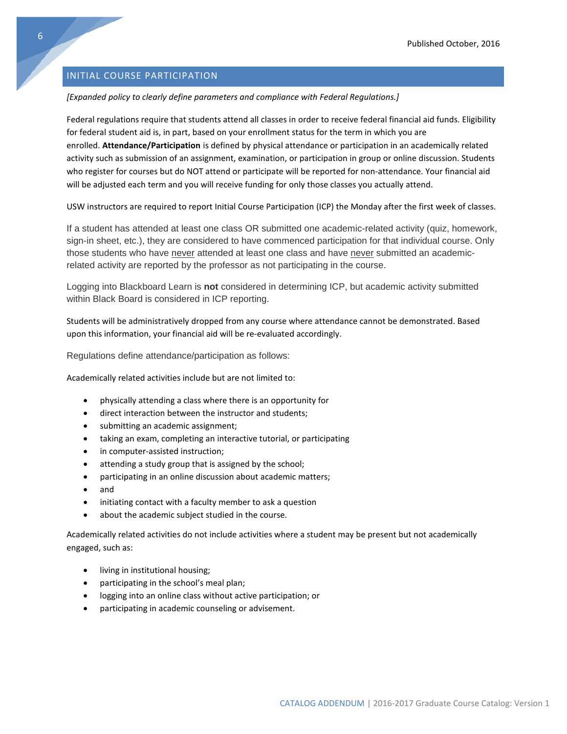# <span id="page-6-0"></span>INITIAL COURSE PARTICIPATION

# *[Expanded policy to clearly define parameters and compliance with Federal Regulations.]*

Federal regulations require that students attend all classes in order to receive federal financial aid funds. Eligibility for federal student aid is, in part, based on your enrollment status for the term in which you are enrolled. **Attendance/Participation** is defined by physical attendance or participation in an academically related activity such as submission of an assignment, examination, or participation in group or online discussion. Students who register for courses but do NOT attend or participate will be reported for non-attendance. Your financial aid will be adjusted each term and you will receive funding for only those classes you actually attend.

USW instructors are required to report Initial Course Participation (ICP) the Monday after the first week of classes.

If a student has attended at least one class OR submitted one academic-related activity (quiz, homework, sign-in sheet, etc.), they are considered to have commenced participation for that individual course. Only those students who have never attended at least one class and have never submitted an academicrelated activity are reported by the professor as not participating in the course.

Logging into Blackboard Learn is **not** considered in determining ICP, but academic activity submitted within Black Board is considered in ICP reporting.

Students will be administratively dropped from any course where attendance cannot be demonstrated. Based upon this information, your financial aid will be re-evaluated accordingly.

Regulations define attendance/participation as follows:

Academically related activities include but are not limited to:

- physically attending a class where there is an opportunity for
- direct interaction between the instructor and students;
- submitting an academic assignment;
- taking an exam, completing an interactive tutorial, or participating
- in computer-assisted instruction;
- attending a study group that is assigned by the school;
- participating in an online discussion about academic matters;
- and
- initiating contact with a faculty member to ask a question
- about the academic subject studied in the course.

Academically related activities do not include activities where a student may be present but not academically engaged, such as:

- living in institutional housing;
- participating in the school's meal plan;
- logging into an online class without active participation; or
- participating in academic counseling or advisement.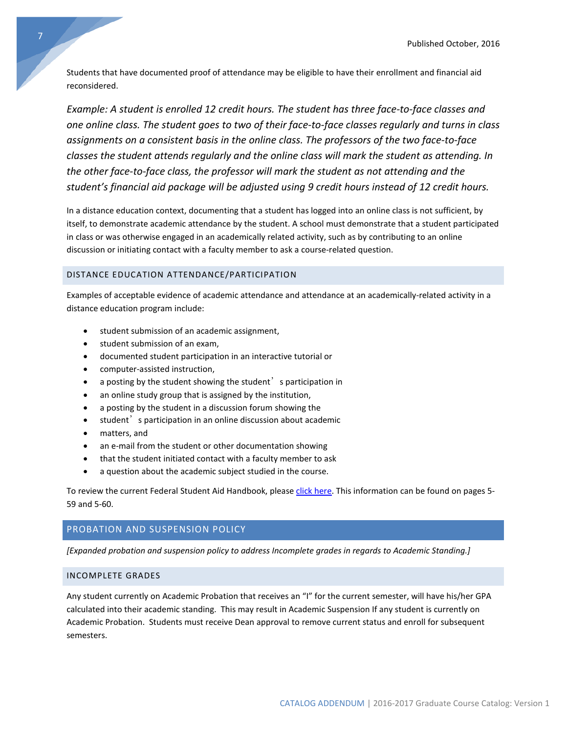Students that have documented proof of attendance may be eligible to have their enrollment and financial aid reconsidered.

*Example: A student is enrolled 12 credit hours. The student has three face-to-face classes and one online class. The student goes to two of their face-to-face classes regularly and turns in class assignments on a consistent basis in the online class. The professors of the two face-to-face classes the student attends regularly and the online class will mark the student as attending. In the other face-to-face class, the professor will mark the student as not attending and the student's financial aid package will be adjusted using 9 credit hours instead of 12 credit hours.*

In a distance education context, documenting that a student has logged into an online class is not sufficient, by itself, to demonstrate academic attendance by the student. A school must demonstrate that a student participated in class or was otherwise engaged in an academically related activity, such as by contributing to an online discussion or initiating contact with a faculty member to ask a course-related question.

# DISTANCE EDUCATION ATTENDANCE/PARTICIPATION

Examples of acceptable evidence of academic attendance and attendance at an academically-related activity in a distance education program include:

- student submission of an academic assignment,
- student submission of an exam,
- documented student participation in an interactive tutorial or
- computer-assisted instruction,
- a posting by the student showing the student's participation in
- an online study group that is assigned by the institution,
- a posting by the student in a discussion forum showing the
- student<sup>'</sup> s participation in an online discussion about academic
- matters, and
- an e-mail from the student or other documentation showing
- that the student initiated contact with a faculty member to ask
- a question about the academic subject studied in the course.

To review the current Federal Student Aid Handbook, please [click here.](https://ifap.ed.gov/ifap/byAwardYear.jsp?type=fsahandbook) This information can be found on pages 5- 59 and 5-60.

# PROBATION AND SUSPENSION POLICY

*[Expanded probation and suspension policy to address Incomplete grades in regards to Academic Standing.]*

# INCOMPLETE GRADES

Any student currently on Academic Probation that receives an "I" for the current semester, will have his/her GPA calculated into their academic standing. This may result in Academic Suspension If any student is currently on Academic Probation. Students must receive Dean approval to remove current status and enroll for subsequent semesters.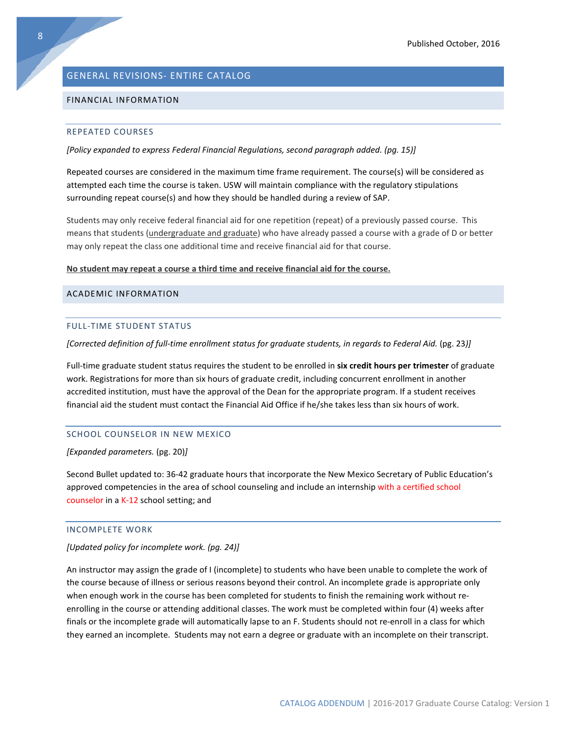# <span id="page-8-0"></span>GENERAL REVISIONS- ENTIRE CATALOG

#### FINANCIAL INFORMATION

#### REPEATED COURSES

*[Policy expanded to express Federal Financial Regulations, second paragraph added. (pg. 15)]*

Repeated courses are considered in the maximum time frame requirement. The course(s) will be considered as attempted each time the course is taken. USW will maintain compliance with the regulatory stipulations surrounding repeat course(s) and how they should be handled during a review of SAP.

Students may only receive federal financial aid for one repetition (repeat) of a previously passed course. This means that students (undergraduate and graduate) who have already passed a course with a grade of D or better may only repeat the class one additional time and receive financial aid for that course.

#### **No student may repeat a course a third time and receive financial aid for the course.**

#### ACADEMIC INFORMATION

#### FULL-TIME STUDENT STATUS

*[Corrected definition of full-time enrollment status for graduate students, in regards to Federal Aid.* (pg. 23*)]*

Full-time graduate student status requires the student to be enrolled in **six credit hours per trimester** of graduate work. Registrations for more than six hours of graduate credit, including concurrent enrollment in another accredited institution, must have the approval of the Dean for the appropriate program. If a student receives financial aid the student must contact the Financial Aid Office if he/she takes less than six hours of work.

## SCHOOL COUNSELOR IN NEW MEXICO

*[Expanded parameters.* (pg. 20)*]*

Second Bullet updated to: 36-42 graduate hours that incorporate the New Mexico Secretary of Public Education's approved competencies in the area of school counseling and include an internship with a certified school counselor in a K-12 school setting; and

# INCOMPLETE WORK

#### *[Updated policy for incomplete work. (pg. 24)]*

An instructor may assign the grade of I (incomplete) to students who have been unable to complete the work of the course because of illness or serious reasons beyond their control. An incomplete grade is appropriate only when enough work in the course has been completed for students to finish the remaining work without reenrolling in the course or attending additional classes. The work must be completed within four (4) weeks after finals or the incomplete grade will automatically lapse to an F. Students should not re-enroll in a class for which they earned an incomplete. Students may not earn a degree or graduate with an incomplete on their transcript.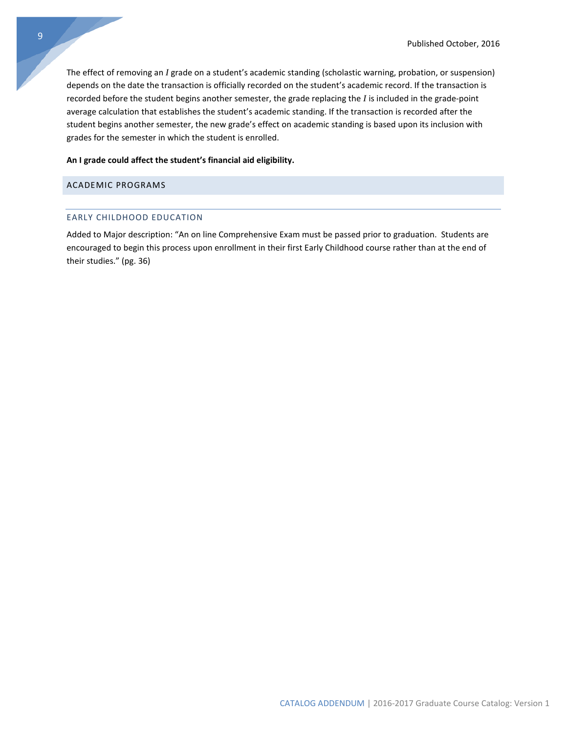The effect of removing an *I* grade on a student's academic standing (scholastic warning, probation, or suspension) depends on the date the transaction is officially recorded on the student's academic record. If the transaction is recorded before the student begins another semester, the grade replacing the *I* is included in the grade-point average calculation that establishes the student's academic standing. If the transaction is recorded after the student begins another semester, the new grade's effect on academic standing is based upon its inclusion with grades for the semester in which the student is enrolled.

#### **An I grade could affect the student's financial aid eligibility.**

# ACADEMIC PROGRAMS

# EARLY CHILDHOOD EDUCATION

Added to Major description: "An on line Comprehensive Exam must be passed prior to graduation. Students are encouraged to begin this process upon enrollment in their first Early Childhood course rather than at the end of their studies." (pg. 36)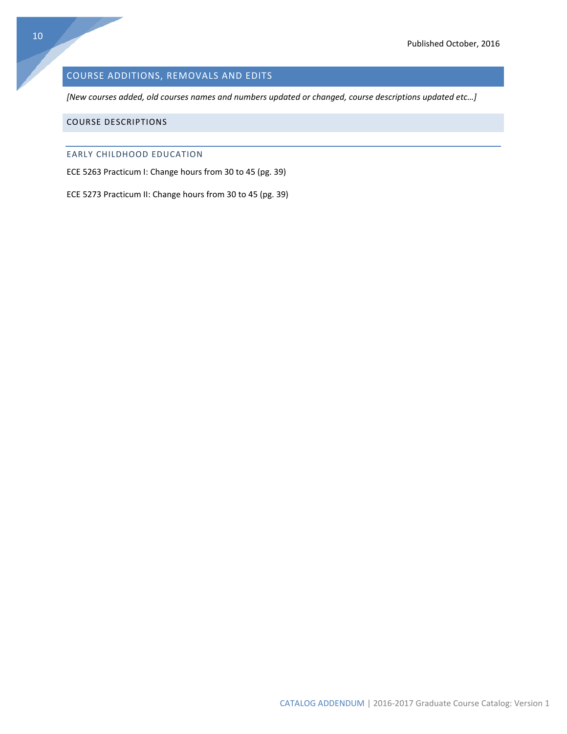# <span id="page-10-0"></span>COURSE ADDITIONS, REMOVALS AND EDITS

*[New courses added, old courses names and numbers updated or changed, course descriptions updated etc…]*

# COURSE DESCRIPTIONS

# EARLY CHILDHOOD EDUCATION

ECE 5263 Practicum I: Change hours from 30 to 45 (pg. 39)

ECE 5273 Practicum II: Change hours from 30 to 45 (pg. 39)